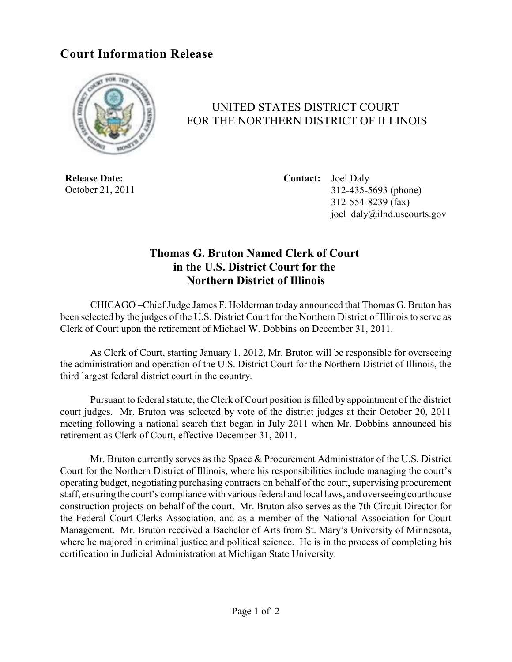## **Court Information Release**



## UNITED STATES DISTRICT COURT FOR THE NORTHERN DISTRICT OF ILLINOIS

**Release Date:** October 21, 2011

**Contact:** Joel Daly 312-435-5693 (phone) 312-554-8239 (fax) joel\_daly@ilnd.uscourts.gov

## **Thomas G. Bruton Named Clerk of Court in the U.S. District Court for the Northern District of Illinois**

CHICAGO –Chief Judge James F. Holderman today announced that Thomas G. Bruton has been selected by the judges of the U.S. District Court for the Northern District of Illinois to serve as Clerk of Court upon the retirement of Michael W. Dobbins on December 31, 2011.

As Clerk of Court, starting January 1, 2012, Mr. Bruton will be responsible for overseeing the administration and operation of the U.S. District Court for the Northern District of Illinois, the third largest federal district court in the country.

Pursuant to federal statute, the Clerk of Court position is filled by appointment of the district court judges. Mr. Bruton was selected by vote of the district judges at their October 20, 2011 meeting following a national search that began in July 2011 when Mr. Dobbins announced his retirement as Clerk of Court, effective December 31, 2011.

Mr. Bruton currently serves as the Space & Procurement Administrator of the U.S. District Court for the Northern District of Illinois, where his responsibilities include managing the court's operating budget, negotiating purchasing contracts on behalf of the court, supervising procurement staff, ensuring the court's compliancewith various federal and local laws, and overseeing courthouse construction projects on behalf of the court. Mr. Bruton also serves as the 7th Circuit Director for the Federal Court Clerks Association, and as a member of the National Association for Court Management. Mr. Bruton received a Bachelor of Arts from St. Mary's University of Minnesota, where he majored in criminal justice and political science. He is in the process of completing his certification in Judicial Administration at Michigan State University.